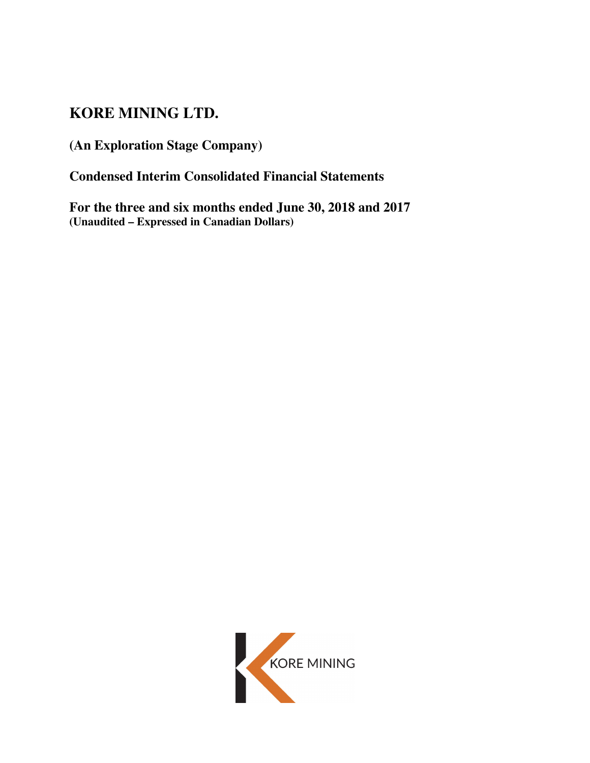# **KORE MINING LTD.**

**(An Exploration Stage Company)** 

**Condensed Interim Consolidated Financial Statements**

**For the three and six months ended June 30, 2018 and 2017 (Unaudited – Expressed in Canadian Dollars)** 

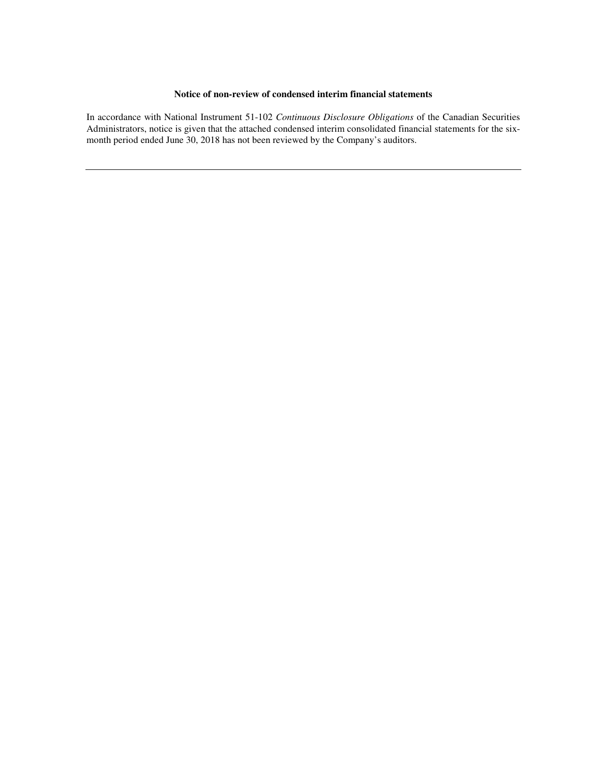#### **Notice of non-review of condensed interim financial statements**

In accordance with National Instrument 51-102 *Continuous Disclosure Obligations* of the Canadian Securities Administrators, notice is given that the attached condensed interim consolidated financial statements for the sixmonth period ended June 30, 2018 has not been reviewed by the Company's auditors.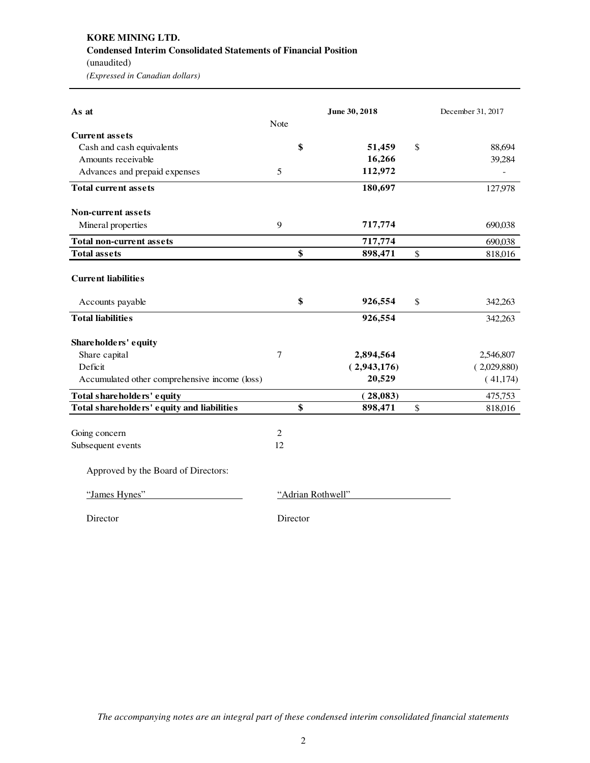# **KORE MINING LTD. Condensed Interim Consolidated Statements of Financial Position**  (unaudited)

*(Expressed in Canadian dollars)* 

| As at                                         |          | June 30, 2018     |      | December 31, 2017 |
|-----------------------------------------------|----------|-------------------|------|-------------------|
|                                               | Note     |                   |      |                   |
| <b>Current assets</b>                         |          |                   |      |                   |
| Cash and cash equivalents                     | \$       | 51,459            | \$   | 88,694            |
| Amounts receivable                            |          | 16,266            |      | 39,284            |
| Advances and prepaid expenses                 | 5        | 112,972           |      |                   |
| <b>Total current assets</b>                   |          | 180,697           |      | 127,978           |
| <b>Non-current assets</b>                     |          |                   |      |                   |
| Mineral properties                            | 9        | 717,774           |      | 690,038           |
| <b>Total non-current assets</b>               |          | 717,774           |      | 690,038           |
| <b>Total assets</b>                           | \$       | 898,471           | $\$$ | 818,016           |
| <b>Current liabilities</b>                    |          |                   |      |                   |
| Accounts payable                              | \$       | 926,554           | \$   | 342,263           |
| <b>Total liabilities</b>                      |          | 926,554           |      | 342,263           |
| Shareholders' equity                          |          |                   |      |                   |
| Share capital                                 | $\tau$   | 2,894,564         |      | 2,546,807         |
| Deficit                                       |          | (2,943,176)       |      | (2,029,880)       |
| Accumulated other comprehensive income (loss) |          | 20,529            |      | (41, 174)         |
| Total shareholders' equity                    |          | (28,083)          |      | 475,753           |
| Total shareholders' equity and liabilities    | \$       | 898,471           | \$   | 818,016           |
| Going concern                                 | 2        |                   |      |                   |
| Subsequent events                             | 12       |                   |      |                   |
| Approved by the Board of Directors:           |          |                   |      |                   |
| "James Hynes"                                 |          | "Adrian Rothwell" |      |                   |
| Director                                      | Director |                   |      |                   |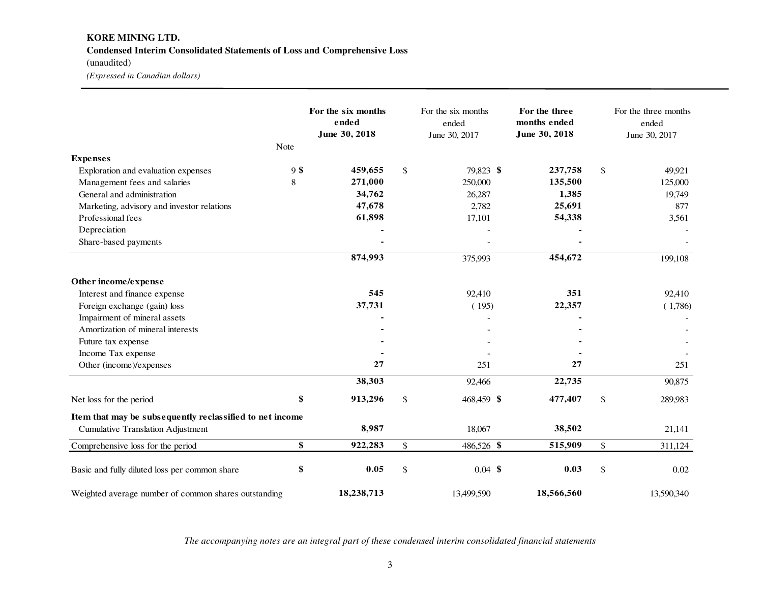# **KORE MINING LTD. Condensed Interim Consolidated Statements of Loss and Comprehensive Loss**

(unaudited)

*(Expressed in Canadian dollars)* 

|                                                          | Note   | For the six months<br>ended<br>June 30, 2018 |                           | For the six months<br>ended<br>June 30, 2017 | For the three<br>months ended<br>June 30, 2018 |                           | For the three months<br>ended<br>June 30, 2017 |
|----------------------------------------------------------|--------|----------------------------------------------|---------------------------|----------------------------------------------|------------------------------------------------|---------------------------|------------------------------------------------|
| <b>Expenses</b>                                          |        |                                              |                           |                                              |                                                |                           |                                                |
| Exploration and evaluation expenses                      | $9$ \$ | 459,655                                      | $\mathbb{S}$              | 79,823 \$                                    | 237,758                                        | \$                        | 49,921                                         |
| Management fees and salaries                             | 8      | 271,000                                      |                           | 250,000                                      | 135,500                                        |                           | 125,000                                        |
| General and administration                               |        | 34,762                                       |                           | 26,287                                       | 1,385                                          |                           | 19,749                                         |
| Marketing, advisory and investor relations               |        | 47,678                                       |                           | 2,782                                        | 25,691                                         |                           | 877                                            |
| Professional fees                                        |        | 61,898                                       |                           | 17,101                                       | 54,338                                         |                           | 3,561                                          |
| Depreciation                                             |        |                                              |                           |                                              |                                                |                           |                                                |
| Share-based payments                                     |        |                                              |                           |                                              |                                                |                           |                                                |
|                                                          |        | 874,993                                      |                           | 375,993                                      | 454,672                                        |                           | 199,108                                        |
| Other income/expense                                     |        |                                              |                           |                                              |                                                |                           |                                                |
| Interest and finance expense                             |        | 545                                          |                           | 92,410                                       | 351                                            |                           | 92,410                                         |
| Foreign exchange (gain) loss                             |        | 37,731                                       |                           | (195)                                        | 22,357                                         |                           | (1,786)                                        |
| Impairment of mineral assets                             |        |                                              |                           |                                              |                                                |                           |                                                |
| Amortization of mineral interests                        |        |                                              |                           |                                              |                                                |                           |                                                |
| Future tax expense                                       |        |                                              |                           |                                              |                                                |                           |                                                |
| Income Tax expense                                       |        |                                              |                           |                                              |                                                |                           |                                                |
| Other (income)/expenses                                  |        | 27                                           |                           | 251                                          | 27                                             |                           | 251                                            |
|                                                          |        | 38,303                                       |                           | 92,466                                       | 22,735                                         |                           | 90,875                                         |
| Net loss for the period                                  | \$     | 913,296                                      | \$                        | 468,459 \$                                   | 477,407                                        | \$                        | 289,983                                        |
| Item that may be subsequently reclassified to net income |        |                                              |                           |                                              |                                                |                           |                                                |
| <b>Cumulative Translation Adjustment</b>                 |        | 8,987                                        |                           | 18,067                                       | 38,502                                         |                           | 21,141                                         |
| Comprehensive loss for the period                        | \$     | 922,283                                      | $\boldsymbol{\mathsf{S}}$ | 486,526 \$                                   | 515,909                                        | \$                        | 311,124                                        |
| Basic and fully diluted loss per common share            | \$     | 0.05                                         | $\mathbb{S}$              | $0.04$ \$                                    | 0.03                                           | $\boldsymbol{\mathsf{S}}$ | $0.02\,$                                       |
| Weighted average number of common shares outstanding     |        | 18,238,713                                   |                           | 13,499,590                                   | 18,566,560                                     |                           | 13,590,340                                     |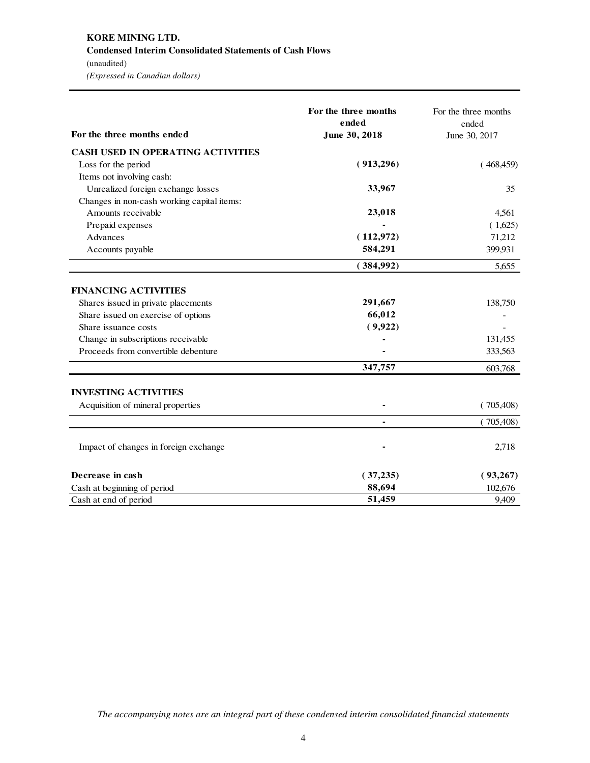### **KORE MINING LTD. Condensed Interim Consolidated Statements of Cash Flows**  (unaudited)

*(Expressed in Canadian dollars)* 

| For the three months ended                 | For the three months<br>ended<br>June 30, 2018 | For the three months<br>ended<br>June 30, 2017 |
|--------------------------------------------|------------------------------------------------|------------------------------------------------|
| <b>CASH USED IN OPERATING ACTIVITIES</b>   |                                                |                                                |
| Loss for the period                        | (913,296)                                      | (468, 459)                                     |
| Items not involving cash:                  |                                                |                                                |
| Unrealized foreign exchange losses         | 33,967                                         | 35                                             |
| Changes in non-cash working capital items: |                                                |                                                |
| Amounts receivable                         | 23,018                                         | 4,561                                          |
| Prepaid expenses                           |                                                | (1,625)                                        |
| Advances                                   | (112, 972)                                     | 71,212                                         |
| Accounts payable                           | 584,291                                        | 399,931                                        |
|                                            | (384,992)                                      | 5,655                                          |
| <b>FINANCING ACTIVITIES</b>                |                                                |                                                |
| Shares issued in private placements        | 291,667                                        | 138,750                                        |
| Share issued on exercise of options        | 66,012                                         |                                                |
| Share issuance costs                       | (9,922)                                        |                                                |
| Change in subscriptions receivable         |                                                | 131,455                                        |
| Proceeds from convertible debenture        |                                                | 333,563                                        |
|                                            | 347,757                                        | 603,768                                        |
| <b>INVESTING ACTIVITIES</b>                |                                                |                                                |
| Acquisition of mineral properties          |                                                | (705,408)                                      |
|                                            | $\blacksquare$                                 | (705,408)                                      |
| Impact of changes in foreign exchange      |                                                | 2,718                                          |
| Decrease in cash                           | (37, 235)                                      | (93,267)                                       |
| Cash at beginning of period                | 88,694                                         | 102,676                                        |
| Cash at end of period                      | 51,459                                         | 9,409                                          |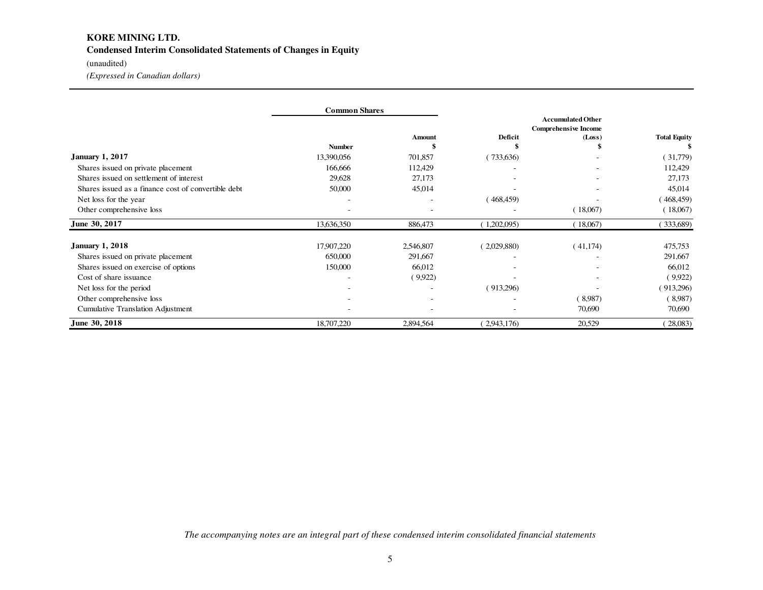# **KORE MINING LTD. Condensed Interim Consolidated Statements of Changes in Equity**

### (unaudited)

*(Expressed in Canadian dollars)* 

|                                                     | <b>Common Shares</b> |                          |                                                         |          |                     |  |
|-----------------------------------------------------|----------------------|--------------------------|---------------------------------------------------------|----------|---------------------|--|
|                                                     |                      |                          | <b>Accumulated Other</b><br><b>Comprehensive Income</b> |          |                     |  |
|                                                     |                      | <b>Amount</b>            | Deficit                                                 | (Loss)   | <b>Total Equity</b> |  |
|                                                     | <b>Number</b>        |                          |                                                         |          |                     |  |
| <b>January 1, 2017</b>                              | 13,390,056           | 701,857                  | (733,636)                                               |          | (31,779)            |  |
| Shares issued on private placement                  | 166,666              | 112,429                  |                                                         |          | 112,429             |  |
| Shares issued on settlement of interest             | 29,628               | 27,173                   |                                                         |          | 27,173              |  |
| Shares issued as a finance cost of convertible debt | 50,000               | 45,014                   |                                                         |          | 45,014              |  |
| Net loss for the year                               | ۰                    |                          | 468,459                                                 |          | 468,459)            |  |
| Other comprehensive loss                            | ۰                    |                          |                                                         | 18,067)  | (18,067)            |  |
| June 30, 2017                                       | 13,636,350           | 886,473                  | 1,202,095                                               | 18,067)  | (333,689)           |  |
| <b>January 1, 2018</b>                              | 17,907,220           | 2,546,807                | (2,029,880)                                             | (41,174) | 475,753             |  |
| Shares issued on private placement                  | 650,000              | 291,667                  | ٠                                                       |          | 291,667             |  |
| Shares issued on exercise of options                | 150,000              | 66,012                   | ٠                                                       |          | 66,012              |  |
| Cost of share issuance                              | ۰                    | (9,922)                  | ٠                                                       |          | (9,922)             |  |
| Net loss for the period                             |                      |                          | (913,296)                                               |          | (913,296)           |  |
| Other comprehensive loss                            | ۰                    | $\overline{\phantom{a}}$ |                                                         | 8,987    | (8,987)             |  |
| <b>Cumulative Translation Adjustment</b>            |                      |                          |                                                         | 70,690   | 70,690              |  |
| June 30, 2018                                       | 18,707,220           | 2,894,564                | 2,943,176                                               | 20,529   | 28,083)             |  |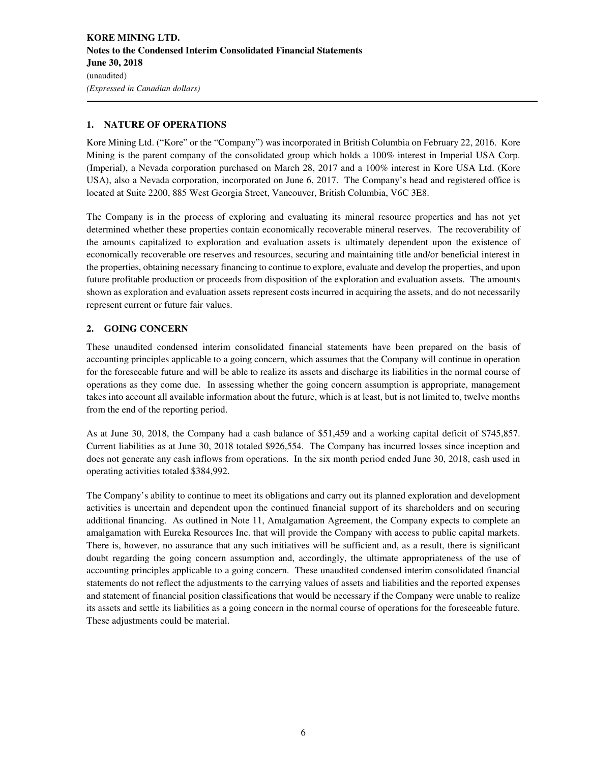### **1. NATURE OF OPERATIONS**

Kore Mining Ltd. ("Kore" or the "Company") was incorporated in British Columbia on February 22, 2016. Kore Mining is the parent company of the consolidated group which holds a 100% interest in Imperial USA Corp. (Imperial), a Nevada corporation purchased on March 28, 2017 and a 100% interest in Kore USA Ltd. (Kore USA), also a Nevada corporation, incorporated on June 6, 2017. The Company's head and registered office is located at Suite 2200, 885 West Georgia Street, Vancouver, British Columbia, V6C 3E8.

The Company is in the process of exploring and evaluating its mineral resource properties and has not yet determined whether these properties contain economically recoverable mineral reserves. The recoverability of the amounts capitalized to exploration and evaluation assets is ultimately dependent upon the existence of economically recoverable ore reserves and resources, securing and maintaining title and/or beneficial interest in the properties, obtaining necessary financing to continue to explore, evaluate and develop the properties, and upon future profitable production or proceeds from disposition of the exploration and evaluation assets. The amounts shown as exploration and evaluation assets represent costs incurred in acquiring the assets, and do not necessarily represent current or future fair values.

### **2. GOING CONCERN**

These unaudited condensed interim consolidated financial statements have been prepared on the basis of accounting principles applicable to a going concern, which assumes that the Company will continue in operation for the foreseeable future and will be able to realize its assets and discharge its liabilities in the normal course of operations as they come due. In assessing whether the going concern assumption is appropriate, management takes into account all available information about the future, which is at least, but is not limited to, twelve months from the end of the reporting period.

As at June 30, 2018, the Company had a cash balance of \$51,459 and a working capital deficit of \$745,857. Current liabilities as at June 30, 2018 totaled \$926,554. The Company has incurred losses since inception and does not generate any cash inflows from operations. In the six month period ended June 30, 2018, cash used in operating activities totaled \$384,992.

The Company's ability to continue to meet its obligations and carry out its planned exploration and development activities is uncertain and dependent upon the continued financial support of its shareholders and on securing additional financing. As outlined in Note 11, Amalgamation Agreement, the Company expects to complete an amalgamation with Eureka Resources Inc. that will provide the Company with access to public capital markets. There is, however, no assurance that any such initiatives will be sufficient and, as a result, there is significant doubt regarding the going concern assumption and, accordingly, the ultimate appropriateness of the use of accounting principles applicable to a going concern. These unaudited condensed interim consolidated financial statements do not reflect the adjustments to the carrying values of assets and liabilities and the reported expenses and statement of financial position classifications that would be necessary if the Company were unable to realize its assets and settle its liabilities as a going concern in the normal course of operations for the foreseeable future. These adjustments could be material.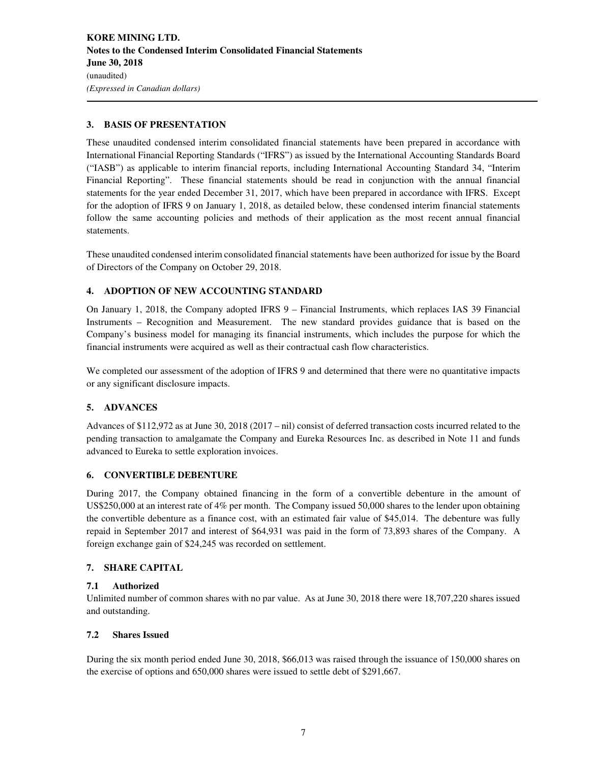### **3. BASIS OF PRESENTATION**

These unaudited condensed interim consolidated financial statements have been prepared in accordance with International Financial Reporting Standards ("IFRS") as issued by the International Accounting Standards Board ("IASB") as applicable to interim financial reports, including International Accounting Standard 34, "Interim Financial Reporting". These financial statements should be read in conjunction with the annual financial statements for the year ended December 31, 2017, which have been prepared in accordance with IFRS. Except for the adoption of IFRS 9 on January 1, 2018, as detailed below, these condensed interim financial statements follow the same accounting policies and methods of their application as the most recent annual financial statements.

These unaudited condensed interim consolidated financial statements have been authorized for issue by the Board of Directors of the Company on October 29, 2018.

### **4. ADOPTION OF NEW ACCOUNTING STANDARD**

On January 1, 2018, the Company adopted IFRS 9 – Financial Instruments, which replaces IAS 39 Financial Instruments – Recognition and Measurement. The new standard provides guidance that is based on the Company's business model for managing its financial instruments, which includes the purpose for which the financial instruments were acquired as well as their contractual cash flow characteristics.

We completed our assessment of the adoption of IFRS 9 and determined that there were no quantitative impacts or any significant disclosure impacts.

### **5. ADVANCES**

Advances of \$112,972 as at June 30, 2018 (2017 – nil) consist of deferred transaction costs incurred related to the pending transaction to amalgamate the Company and Eureka Resources Inc. as described in Note 11 and funds advanced to Eureka to settle exploration invoices.

### **6. CONVERTIBLE DEBENTURE**

During 2017, the Company obtained financing in the form of a convertible debenture in the amount of US\$250,000 at an interest rate of 4% per month. The Company issued 50,000 shares to the lender upon obtaining the convertible debenture as a finance cost, with an estimated fair value of \$45,014. The debenture was fully repaid in September 2017 and interest of \$64,931 was paid in the form of 73,893 shares of the Company. A foreign exchange gain of \$24,245 was recorded on settlement.

### **7. SHARE CAPITAL**

### **7.1 Authorized**

Unlimited number of common shares with no par value. As at June 30, 2018 there were 18,707,220 shares issued and outstanding.

### **7.2 Shares Issued**

During the six month period ended June 30, 2018, \$66,013 was raised through the issuance of 150,000 shares on the exercise of options and 650,000 shares were issued to settle debt of \$291,667.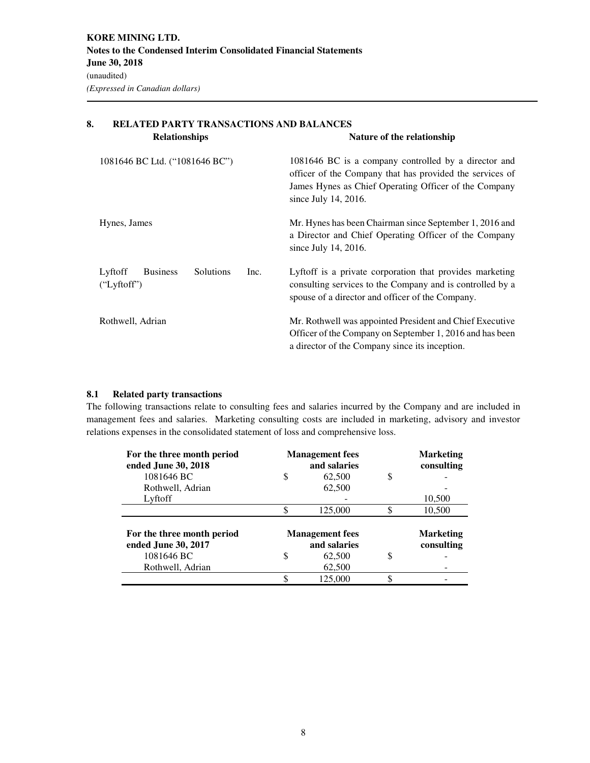| <b>RELATED PARTY TRANSACTIONS AND BALANCES</b><br>8. |                                                                       |                                                                                                                                                                                                   |  |  |  |  |
|------------------------------------------------------|-----------------------------------------------------------------------|---------------------------------------------------------------------------------------------------------------------------------------------------------------------------------------------------|--|--|--|--|
|                                                      | <b>Relationships</b>                                                  | Nature of the relationship                                                                                                                                                                        |  |  |  |  |
|                                                      | 1081646 BC Ltd. ("1081646 BC")                                        | 1081646 BC is a company controlled by a director and<br>officer of the Company that has provided the services of<br>James Hynes as Chief Operating Officer of the Company<br>since July 14, 2016. |  |  |  |  |
|                                                      | Hynes, James                                                          | Mr. Hynes has been Chairman since September 1, 2016 and<br>a Director and Chief Operating Officer of the Company<br>since July 14, 2016.                                                          |  |  |  |  |
|                                                      | Lyftoff<br><b>Solutions</b><br><b>Business</b><br>Inc.<br>("Lyftoff") | Lyftoff is a private corporation that provides marketing<br>consulting services to the Company and is controlled by a<br>spouse of a director and officer of the Company.                         |  |  |  |  |
|                                                      | Rothwell, Adrian                                                      | Mr. Rothwell was appointed President and Chief Executive<br>Officer of the Company on September 1, 2016 and has been<br>a director of the Company since its inception.                            |  |  |  |  |

### **8.1 Related party transactions**

The following transactions relate to consulting fees and salaries incurred by the Company and are included in management fees and salaries. Marketing consulting costs are included in marketing, advisory and investor relations expenses in the consolidated statement of loss and comprehensive loss.

| For the three month period<br>ended June 30, 2018     |   | <b>Management</b> fees<br>and salaries |    | <b>Marketing</b><br>consulting |
|-------------------------------------------------------|---|----------------------------------------|----|--------------------------------|
| 1081646 BC                                            | S | 62,500                                 | S  |                                |
| Rothwell, Adrian                                      |   | 62,500                                 |    |                                |
| Lyftoff                                               |   |                                        |    | 10,500                         |
|                                                       |   | 125,000                                |    | 10,500                         |
|                                                       |   |                                        |    |                                |
| For the three month period                            |   | <b>Management</b> fees                 |    | <b>Marketing</b>               |
| ended June 30, 2017<br>1081646 BC<br>Rothwell, Adrian | S | and salaries<br>62,500<br>62,500       | \$ | consulting                     |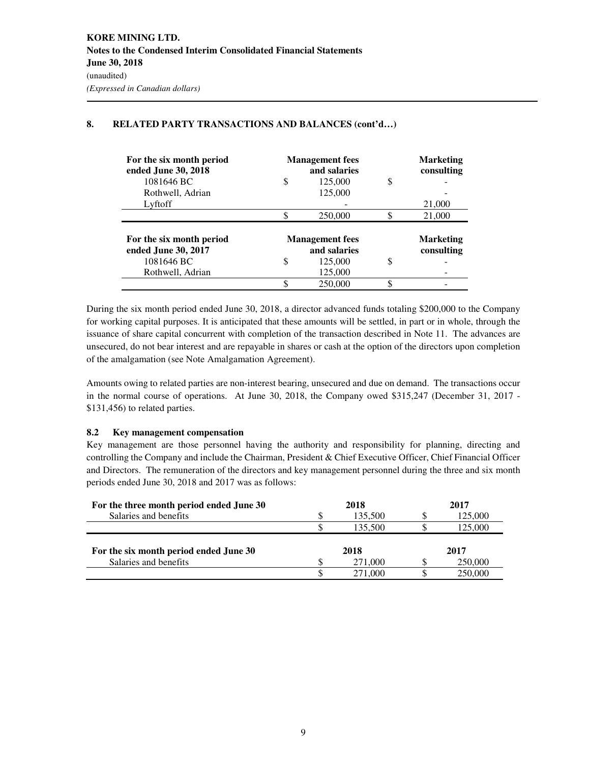| For the six month period<br>ended June 30, 2018 |                                        | <b>Management</b> fees<br>and salaries |   | <b>Marketing</b><br>consulting |
|-------------------------------------------------|----------------------------------------|----------------------------------------|---|--------------------------------|
| 1081646 BC                                      | S                                      | 125,000                                | S |                                |
| Rothwell, Adrian                                |                                        | 125,000                                |   |                                |
| Lyftoff                                         |                                        |                                        |   | 21,000                         |
|                                                 |                                        | 250,000                                |   | 21,000                         |
| For the six month period<br>ended June 30, 2017 | <b>Management</b> fees<br>and salaries |                                        |   | <b>Marketing</b><br>consulting |
| 1081646 BC                                      | S                                      | 125,000                                | S |                                |
| Rothwell, Adrian                                |                                        | 125,000                                |   |                                |
|                                                 |                                        | 250,000                                | J |                                |

### **8. RELATED PARTY TRANSACTIONS AND BALANCES (cont'd…)**

During the six month period ended June 30, 2018, a director advanced funds totaling \$200,000 to the Company for working capital purposes. It is anticipated that these amounts will be settled, in part or in whole, through the issuance of share capital concurrent with completion of the transaction described in Note 11. The advances are unsecured, do not bear interest and are repayable in shares or cash at the option of the directors upon completion of the amalgamation (see Note Amalgamation Agreement).

Amounts owing to related parties are non-interest bearing, unsecured and due on demand. The transactions occur in the normal course of operations. At June 30, 2018, the Company owed \$315,247 (December 31, 2017 - \$131,456) to related parties.

### **8.2 Key management compensation**

Key management are those personnel having the authority and responsibility for planning, directing and controlling the Company and include the Chairman, President & Chief Executive Officer, Chief Financial Officer and Directors. The remuneration of the directors and key management personnel during the three and six month periods ended June 30, 2018 and 2017 was as follows:

| For the three month period ended June 30 |   | 2018    | 2017    |
|------------------------------------------|---|---------|---------|
| Salaries and benefits                    | S | 135,500 | 125,000 |
|                                          |   | 135.500 | 125.000 |
| For the six month period ended June 30   |   | 2018    | 2017    |
| Salaries and benefits                    |   | 271,000 | 250,000 |
|                                          |   | 271.000 | 250,000 |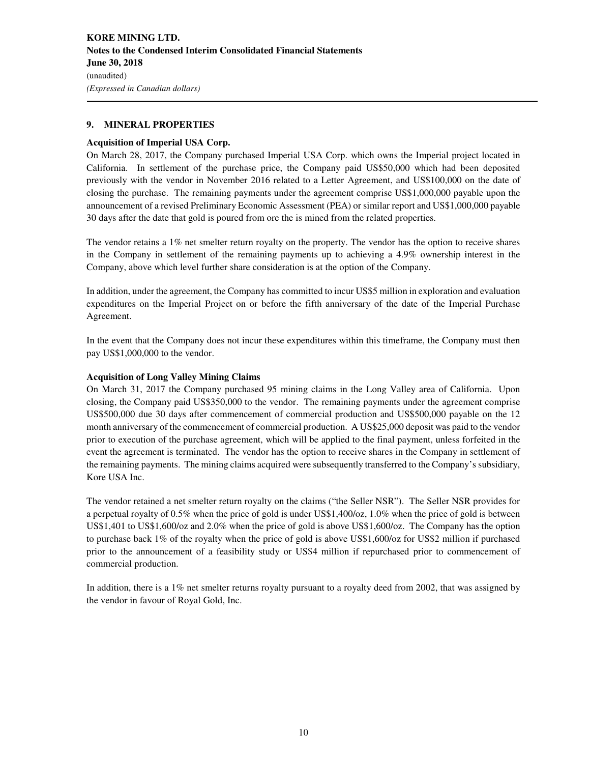### **9. MINERAL PROPERTIES**

#### **Acquisition of Imperial USA Corp.**

On March 28, 2017, the Company purchased Imperial USA Corp. which owns the Imperial project located in California. In settlement of the purchase price, the Company paid US\$50,000 which had been deposited previously with the vendor in November 2016 related to a Letter Agreement, and US\$100,000 on the date of closing the purchase. The remaining payments under the agreement comprise US\$1,000,000 payable upon the announcement of a revised Preliminary Economic Assessment (PEA) or similar report and US\$1,000,000 payable 30 days after the date that gold is poured from ore the is mined from the related properties.

The vendor retains a 1% net smelter return royalty on the property. The vendor has the option to receive shares in the Company in settlement of the remaining payments up to achieving a 4.9% ownership interest in the Company, above which level further share consideration is at the option of the Company.

In addition, under the agreement, the Company has committed to incur US\$5 million in exploration and evaluation expenditures on the Imperial Project on or before the fifth anniversary of the date of the Imperial Purchase Agreement.

In the event that the Company does not incur these expenditures within this timeframe, the Company must then pay US\$1,000,000 to the vendor.

### **Acquisition of Long Valley Mining Claims**

On March 31, 2017 the Company purchased 95 mining claims in the Long Valley area of California. Upon closing, the Company paid US\$350,000 to the vendor. The remaining payments under the agreement comprise US\$500,000 due 30 days after commencement of commercial production and US\$500,000 payable on the 12 month anniversary of the commencement of commercial production. A US\$25,000 deposit was paid to the vendor prior to execution of the purchase agreement, which will be applied to the final payment, unless forfeited in the event the agreement is terminated. The vendor has the option to receive shares in the Company in settlement of the remaining payments. The mining claims acquired were subsequently transferred to the Company's subsidiary, Kore USA Inc.

The vendor retained a net smelter return royalty on the claims ("the Seller NSR"). The Seller NSR provides for a perpetual royalty of 0.5% when the price of gold is under US\$1,400/oz, 1.0% when the price of gold is between US\$1,401 to US\$1,600/oz and 2.0% when the price of gold is above US\$1,600/oz. The Company has the option to purchase back 1% of the royalty when the price of gold is above US\$1,600/oz for US\$2 million if purchased prior to the announcement of a feasibility study or US\$4 million if repurchased prior to commencement of commercial production.

In addition, there is a 1% net smelter returns royalty pursuant to a royalty deed from 2002, that was assigned by the vendor in favour of Royal Gold, Inc.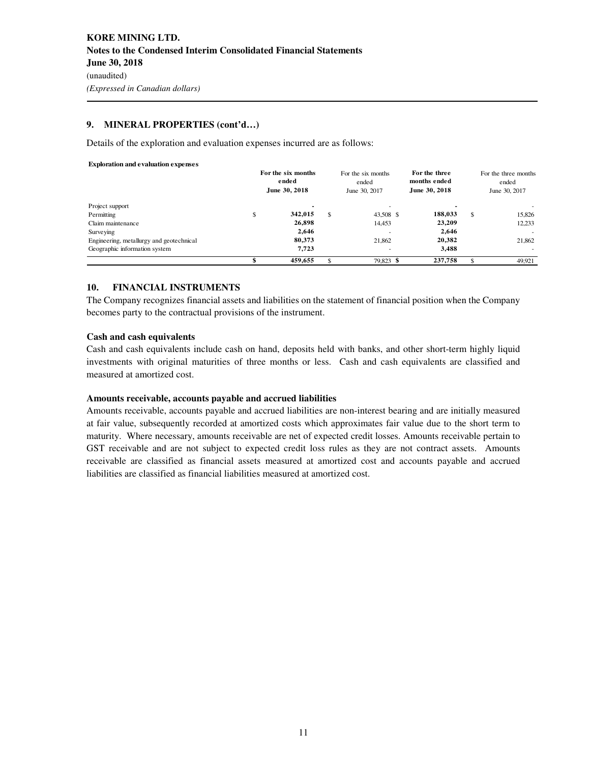### **9. MINERAL PROPERTIES (cont'd…)**

Details of the exploration and evaluation expenses incurred are as follows:

#### **Exploration and evaluation expenses**

|                                          |     | For the six months<br>ended<br>June 30, 2018 |     | For the six months<br>ended<br>June 30, 2017 | For the three<br>months ended<br>June 30, 2018 | For the three months<br>ended<br>June 30, 2017 |        |
|------------------------------------------|-----|----------------------------------------------|-----|----------------------------------------------|------------------------------------------------|------------------------------------------------|--------|
| Project support                          |     |                                              |     |                                              |                                                |                                                |        |
| Permitting                               | \$. | 342.015                                      | S   | 43.508 \$                                    | 188.033                                        | \$                                             | 15,826 |
| Claim maintenance                        |     | 26,898                                       |     | 14,453                                       | 23,209                                         |                                                | 12,233 |
| Surveying                                |     | 2.646                                        |     |                                              | 2.646                                          |                                                |        |
| Engineering, metallurgy and geotechnical |     | 80.373                                       |     | 21.862                                       | 20,382                                         |                                                | 21.862 |
| Geographic information system            |     | 7.723                                        |     |                                              | 3.488                                          |                                                |        |
|                                          |     | 459.655                                      | \$. | 79.823 \$                                    | 237,758                                        | \$.                                            | 49.921 |

### **10. FINANCIAL INSTRUMENTS**

The Company recognizes financial assets and liabilities on the statement of financial position when the Company becomes party to the contractual provisions of the instrument.

#### **Cash and cash equivalents**

Cash and cash equivalents include cash on hand, deposits held with banks, and other short-term highly liquid investments with original maturities of three months or less. Cash and cash equivalents are classified and measured at amortized cost.

#### **Amounts receivable, accounts payable and accrued liabilities**

Amounts receivable, accounts payable and accrued liabilities are non-interest bearing and are initially measured at fair value, subsequently recorded at amortized costs which approximates fair value due to the short term to maturity. Where necessary, amounts receivable are net of expected credit losses. Amounts receivable pertain to GST receivable and are not subject to expected credit loss rules as they are not contract assets. Amounts receivable are classified as financial assets measured at amortized cost and accounts payable and accrued liabilities are classified as financial liabilities measured at amortized cost.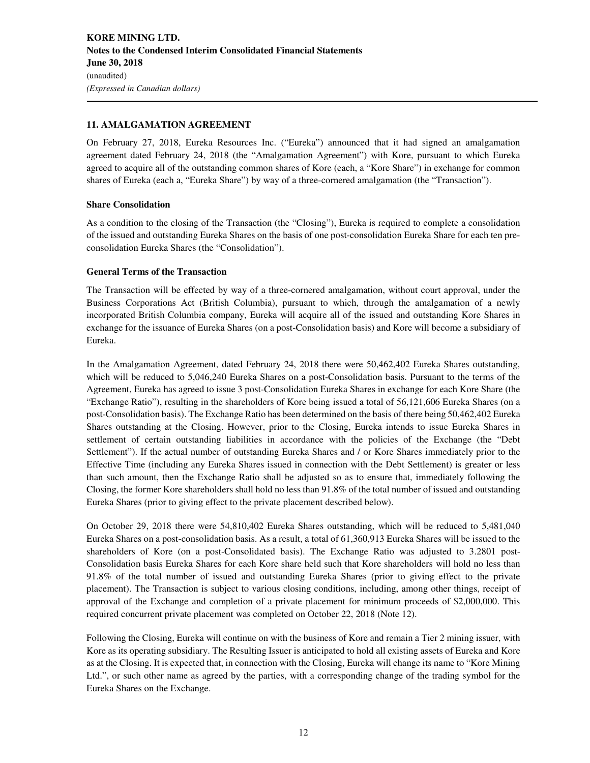### **11. AMALGAMATION AGREEMENT**

On February 27, 2018, Eureka Resources Inc. ("Eureka") announced that it had signed an amalgamation agreement dated February 24, 2018 (the "Amalgamation Agreement") with Kore, pursuant to which Eureka agreed to acquire all of the outstanding common shares of Kore (each, a "Kore Share") in exchange for common shares of Eureka (each a, "Eureka Share") by way of a three-cornered amalgamation (the "Transaction").

### **Share Consolidation**

As a condition to the closing of the Transaction (the "Closing"), Eureka is required to complete a consolidation of the issued and outstanding Eureka Shares on the basis of one post-consolidation Eureka Share for each ten preconsolidation Eureka Shares (the "Consolidation").

### **General Terms of the Transaction**

The Transaction will be effected by way of a three-cornered amalgamation, without court approval, under the Business Corporations Act (British Columbia), pursuant to which, through the amalgamation of a newly incorporated British Columbia company, Eureka will acquire all of the issued and outstanding Kore Shares in exchange for the issuance of Eureka Shares (on a post-Consolidation basis) and Kore will become a subsidiary of Eureka.

In the Amalgamation Agreement, dated February 24, 2018 there were 50,462,402 Eureka Shares outstanding, which will be reduced to 5,046,240 Eureka Shares on a post-Consolidation basis. Pursuant to the terms of the Agreement, Eureka has agreed to issue 3 post-Consolidation Eureka Shares in exchange for each Kore Share (the "Exchange Ratio"), resulting in the shareholders of Kore being issued a total of 56,121,606 Eureka Shares (on a post-Consolidation basis). The Exchange Ratio has been determined on the basis of there being 50,462,402 Eureka Shares outstanding at the Closing. However, prior to the Closing, Eureka intends to issue Eureka Shares in settlement of certain outstanding liabilities in accordance with the policies of the Exchange (the "Debt Settlement"). If the actual number of outstanding Eureka Shares and / or Kore Shares immediately prior to the Effective Time (including any Eureka Shares issued in connection with the Debt Settlement) is greater or less than such amount, then the Exchange Ratio shall be adjusted so as to ensure that, immediately following the Closing, the former Kore shareholders shall hold no less than 91.8% of the total number of issued and outstanding Eureka Shares (prior to giving effect to the private placement described below).

On October 29, 2018 there were 54,810,402 Eureka Shares outstanding, which will be reduced to 5,481,040 Eureka Shares on a post-consolidation basis. As a result, a total of 61,360,913 Eureka Shares will be issued to the shareholders of Kore (on a post-Consolidated basis). The Exchange Ratio was adjusted to 3.2801 post-Consolidation basis Eureka Shares for each Kore share held such that Kore shareholders will hold no less than 91.8% of the total number of issued and outstanding Eureka Shares (prior to giving effect to the private placement). The Transaction is subject to various closing conditions, including, among other things, receipt of approval of the Exchange and completion of a private placement for minimum proceeds of \$2,000,000. This required concurrent private placement was completed on October 22, 2018 (Note 12).

Following the Closing, Eureka will continue on with the business of Kore and remain a Tier 2 mining issuer, with Kore as its operating subsidiary. The Resulting Issuer is anticipated to hold all existing assets of Eureka and Kore as at the Closing. It is expected that, in connection with the Closing, Eureka will change its name to "Kore Mining Ltd.", or such other name as agreed by the parties, with a corresponding change of the trading symbol for the Eureka Shares on the Exchange.